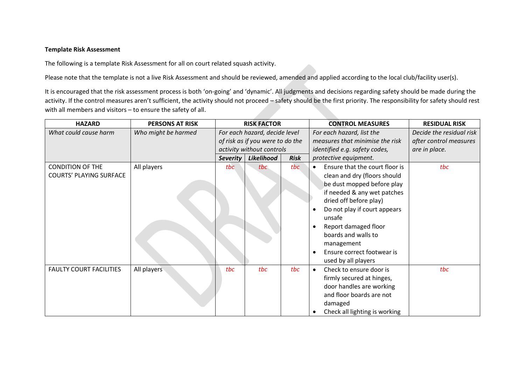## **Template Risk Assessment**

The following is a template Risk Assessment for all on court related squash activity.

Please note that the template is not a live Risk Assessment and should be reviewed, amended and applied according to the local club/facility user(s).

It is encouraged that the risk assessment process is both 'on-going' and 'dynamic'. All judgments and decisions regarding safety should be made during the activity. If the control measures aren't sufficient, the activity should not proceed – safety should be the first priority. The responsibility for safety should rest with all members and visitors – to ensure the safety of all.

| <b>HAZARD</b>                                             | <b>PERSONS AT RISK</b> | <b>RISK FACTOR</b>               |                           |             | <b>CONTROL MEASURES</b>                                                                                                                                                                                                                                                                                                        | <b>RESIDUAL RISK</b>     |
|-----------------------------------------------------------|------------------------|----------------------------------|---------------------------|-------------|--------------------------------------------------------------------------------------------------------------------------------------------------------------------------------------------------------------------------------------------------------------------------------------------------------------------------------|--------------------------|
| What could cause harm                                     | Who might be harmed    | For each hazard, decide level    |                           |             | For each hazard, list the                                                                                                                                                                                                                                                                                                      | Decide the residual risk |
|                                                           |                        | of risk as if you were to do the |                           |             | measures that minimise the risk                                                                                                                                                                                                                                                                                                | after control measures   |
|                                                           |                        |                                  | activity without controls |             | identified e.g. safety codes,                                                                                                                                                                                                                                                                                                  | are in place.            |
|                                                           |                        | Severity                         | Likelihood                | <b>Risk</b> | protective equipment.                                                                                                                                                                                                                                                                                                          |                          |
| <b>CONDITION OF THE</b><br><b>COURTS' PLAYING SURFACE</b> | All players            | tbc                              | tbc                       | tbc         | Ensure that the court floor is<br>$\bullet$<br>clean and dry (floors should<br>be dust mopped before play<br>if needed & any wet patches<br>dried off before play)<br>Do not play if court appears<br>unsafe<br>Report damaged floor<br>boards and walls to<br>management<br>Ensure correct footwear is<br>used by all players | tbc                      |
| <b>FAULTY COURT FACILITIES</b>                            | All players            | tbc                              | tbc                       | tbc         | Check to ensure door is<br>$\bullet$<br>firmly secured at hinges,<br>door handles are working<br>and floor boards are not<br>damaged<br>Check all lighting is working                                                                                                                                                          | tbc                      |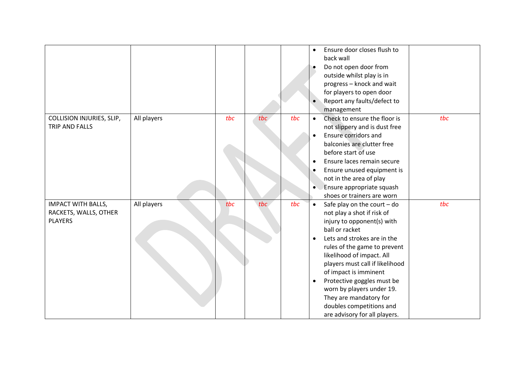|                                                                      |             |     |     |     | Ensure door closes flush to<br>$\bullet$<br>back wall<br>Do not open door from<br>outside whilst play is in<br>progress - knock and wait<br>for players to open door<br>Report any faults/defect to<br>management                                                                                                                                                                                                                                                   |
|----------------------------------------------------------------------|-------------|-----|-----|-----|---------------------------------------------------------------------------------------------------------------------------------------------------------------------------------------------------------------------------------------------------------------------------------------------------------------------------------------------------------------------------------------------------------------------------------------------------------------------|
| COLLISION INJURIES, SLIP,<br>TRIP AND FALLS                          | All players | tbc | tbc | tbc | tbc<br>Check to ensure the floor is<br>$\bullet$<br>not slippery and is dust free<br>Ensure corridors and<br>$\bullet$<br>balconies are clutter free<br>before start of use<br>Ensure laces remain secure<br>$\bullet$<br>Ensure unused equipment is<br>٠<br>not in the area of play<br>Ensure appropriate squash<br>shoes or trainers are worn                                                                                                                     |
| <b>IMPACT WITH BALLS,</b><br>RACKETS, WALLS, OTHER<br><b>PLAYERS</b> | All players | tbc | tbc | tbc | tbc<br>Safe play on the court $-$ do<br>$\bullet$<br>not play a shot if risk of<br>injury to opponent(s) with<br>ball or racket<br>Lets and strokes are in the<br>$\bullet$<br>rules of the game to prevent<br>likelihood of impact. All<br>players must call if likelihood<br>of impact is imminent<br>Protective goggles must be<br>$\bullet$<br>worn by players under 19.<br>They are mandatory for<br>doubles competitions and<br>are advisory for all players. |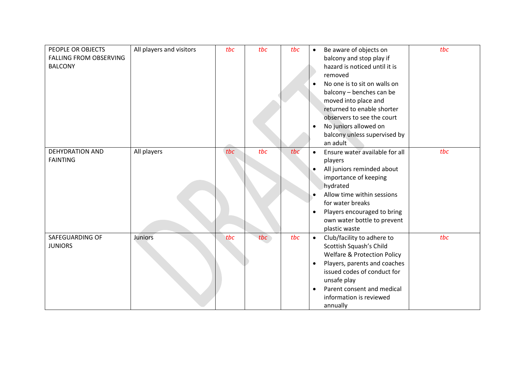| PEOPLE OR OBJECTS             | All players and visitors | tbc | tbc | tbc | $\bullet$ | Be aware of objects on                 | tbc |
|-------------------------------|--------------------------|-----|-----|-----|-----------|----------------------------------------|-----|
| <b>FALLING FROM OBSERVING</b> |                          |     |     |     |           | balcony and stop play if               |     |
| <b>BALCONY</b>                |                          |     |     |     |           | hazard is noticed until it is          |     |
|                               |                          |     |     |     |           | removed                                |     |
|                               |                          |     |     |     | $\bullet$ | No one is to sit on walls on           |     |
|                               |                          |     |     |     |           | balcony - benches can be               |     |
|                               |                          |     |     |     |           | moved into place and                   |     |
|                               |                          |     |     |     |           | returned to enable shorter             |     |
|                               |                          |     |     |     |           | observers to see the court             |     |
|                               |                          |     |     |     | $\bullet$ | No juniors allowed on                  |     |
|                               |                          |     |     |     |           | balcony unless supervised by           |     |
|                               |                          |     |     |     |           | an adult                               |     |
| <b>DEHYDRATION AND</b>        | All players              | tbc | tbc | tbc | $\bullet$ | Ensure water available for all         | tbc |
| <b>FAINTING</b>               |                          |     |     |     |           | players                                |     |
|                               |                          |     |     |     | $\bullet$ | All juniors reminded about             |     |
|                               |                          |     |     |     |           | importance of keeping                  |     |
|                               |                          |     |     |     |           | hydrated                               |     |
|                               |                          |     |     |     | $\bullet$ | Allow time within sessions             |     |
|                               |                          |     |     |     |           | for water breaks                       |     |
|                               |                          |     |     |     | $\bullet$ | Players encouraged to bring            |     |
|                               |                          |     |     |     |           | own water bottle to prevent            |     |
|                               |                          |     |     |     |           | plastic waste                          |     |
| SAFEGUARDING OF               | Juniors                  | tbc | tbc | tbc | $\bullet$ | Club/facility to adhere to             | tbc |
| <b>JUNIORS</b>                |                          |     |     |     |           | Scottish Squash's Child                |     |
|                               |                          |     |     |     |           | <b>Welfare &amp; Protection Policy</b> |     |
|                               |                          |     |     |     | $\bullet$ | Players, parents and coaches           |     |
|                               |                          |     |     |     |           | issued codes of conduct for            |     |
|                               |                          |     |     |     |           | unsafe play                            |     |
|                               |                          |     |     |     | $\bullet$ | Parent consent and medical             |     |
|                               |                          |     |     |     |           | information is reviewed                |     |
|                               |                          |     |     |     |           | annually                               |     |